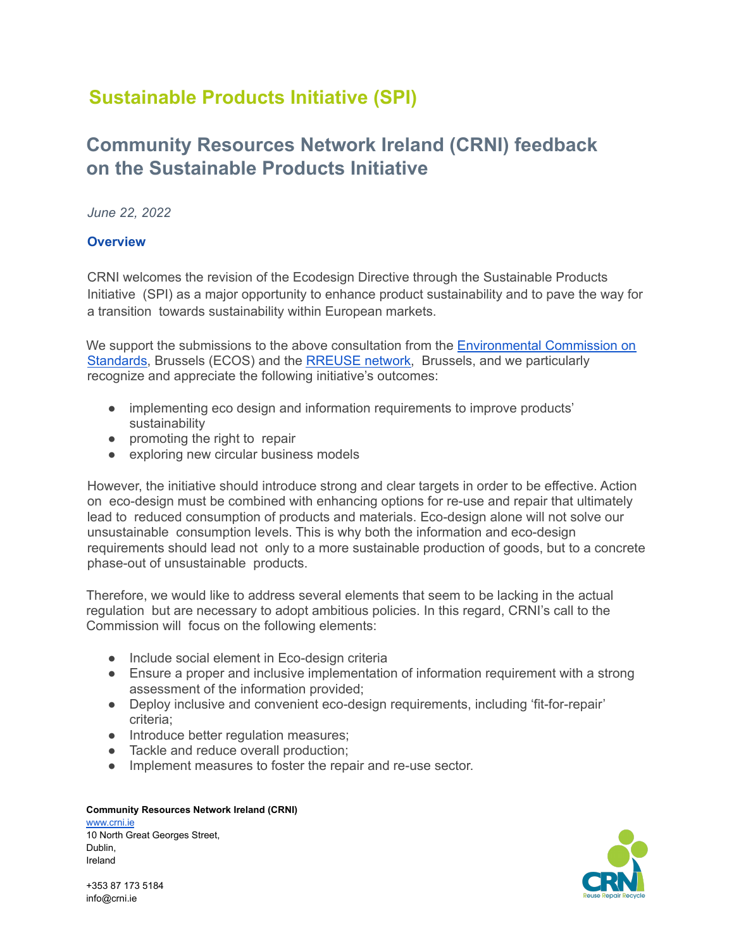# **Sustainable Products Initiative (SPI)**

# **Community Resources Network Ireland (CRNI) feedback on the Sustainable Products Initiative**

*June 22, 2022*

## **Overview**

CRNI welcomes the revision of the Ecodesign Directive through the Sustainable Products Initiative (SPI) as a major opportunity to enhance product sustainability and to pave the way for a transition towards sustainability within European markets.

We support the submissions to the above consultation from the [Environmental](https://ecostandard.org/) Commission on [Standards,](https://ecostandard.org/) Brussels (ECOS) and the [RREUSE](https://rreuse.org/) network, Brussels, and we particularly recognize and appreciate the following initiative's outcomes:

- implementing eco design and information requirements to improve products' sustainability
- promoting the right to repair
- exploring new circular business models

However, the initiative should introduce strong and clear targets in order to be effective. Action on eco-design must be combined with enhancing options for re-use and repair that ultimately lead to reduced consumption of products and materials. Eco-design alone will not solve our unsustainable consumption levels. This is why both the information and eco-design requirements should lead not only to a more sustainable production of goods, but to a concrete phase-out of unsustainable products.

Therefore, we would like to address several elements that seem to be lacking in the actual regulation but are necessary to adopt ambitious policies. In this regard, CRNI's call to the Commission will focus on the following elements:

- Include social element in Eco-design criteria
- Ensure a proper and inclusive implementation of information requirement with a strong assessment of the information provided;
- Deploy inclusive and convenient eco-design requirements, including 'fit-for-repair' criteria;
- Introduce better regulation measures;
- Tackle and reduce overall production;
- Implement measures to foster the repair and re-use sector.

## **Community Resources Network Ireland (CRNI)**

[www.crni.ie](http://www.crni.ie) 10 North Great Georges Street, Dublin, Ireland

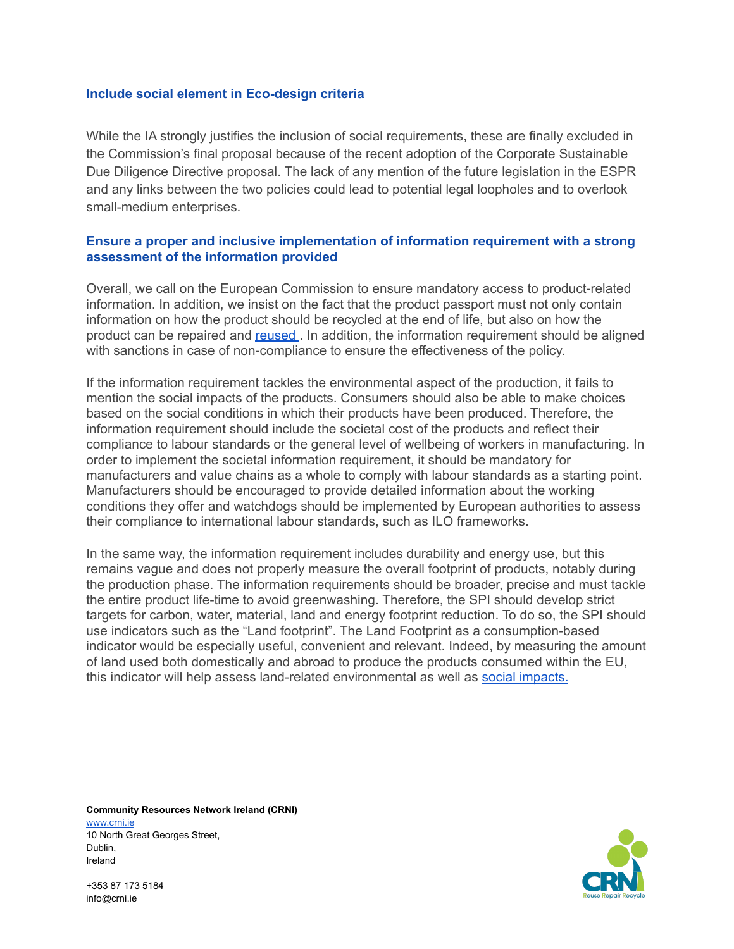## **Include social element in Eco-design criteria**

While the IA strongly justifies the inclusion of social requirements, these are finally excluded in the Commission's final proposal because of the recent adoption of the Corporate Sustainable Due Diligence Directive proposal. The lack of any mention of the future legislation in the ESPR and any links between the two policies could lead to potential legal loopholes and to overlook small-medium enterprises.

## **Ensure a proper and inclusive implementation of information requirement with a strong assessment of the information provided**

Overall, we call on the European Commission to ensure mandatory access to product-related information. In addition, we insist on the fact that the product passport must not only contain information on how the product should be recycled at the end of life, but also on how the product can be repaired and [reused](https://rreuse.org/wp-content/uploads/rreuse-response-to-consultation-on-spi-add-on-1.pdf) . In addition, the information requirement should be aligned with sanctions in case of non-compliance to ensure the effectiveness of the policy.

If the information requirement tackles the environmental aspect of the production, it fails to mention the social impacts of the products. Consumers should also be able to make choices based on the social conditions in which their products have been produced. Therefore, the information requirement should include the societal cost of the products and reflect their compliance to labour standards or the general level of wellbeing of workers in manufacturing. In order to implement the societal information requirement, it should be mandatory for manufacturers and value chains as a whole to comply with labour standards as a starting point. Manufacturers should be encouraged to provide detailed information about the working conditions they offer and watchdogs should be implemented by European authorities to assess their compliance to international labour standards, such as ILO frameworks.

In the same way, the information requirement includes durability and energy use, but this remains vague and does not properly measure the overall footprint of products, notably during the production phase. The information requirements should be broader, precise and must tackle the entire product life-time to avoid greenwashing. Therefore, the SPI should develop strict targets for carbon, water, material, land and energy footprint reduction. To do so, the SPI should use indicators such as the "Land footprint". The Land Footprint as a consumption-based indicator would be especially useful, convenient and relevant. Indeed, by measuring the amount of land used both domestically and abroad to produce the products consumed within the EU, this indicator will help assess land-related environmental as well as social [impacts.](https://friendsoftheearth.eu/wp-content/uploads/2016/09/foee-true-cost-consumption-land-footprint.pdf)

**Community Resources Network Ireland (CRNI)** [www.crni.ie](http://www.crni.ie) 10 North Great Georges Street, Dublin, Ireland

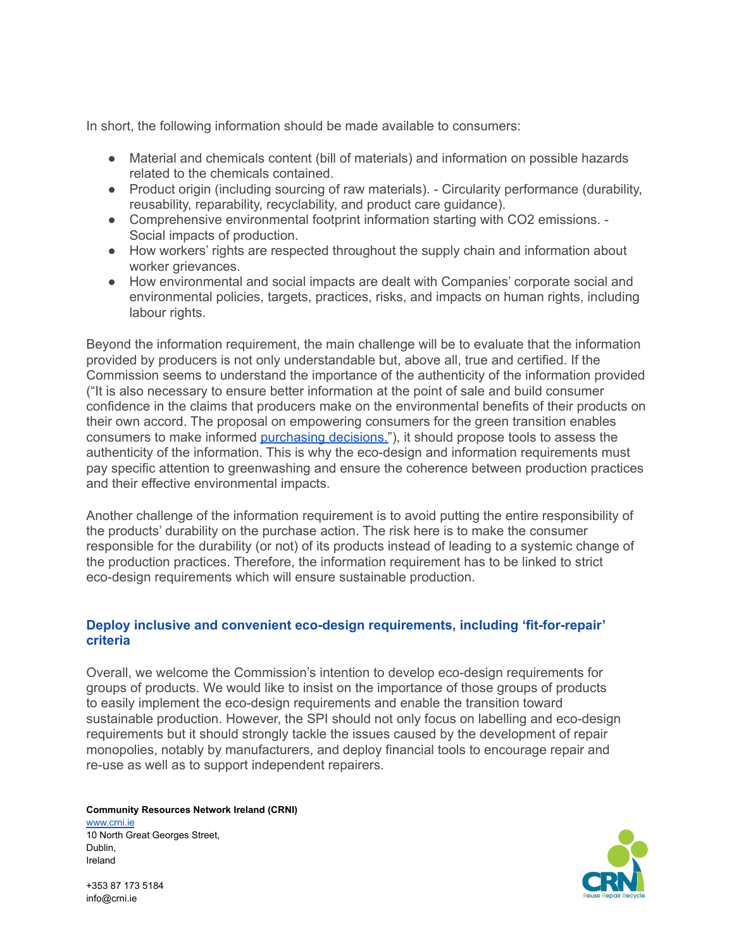In short, the following information should be made available to consumers:

- Material and chemicals content (bill of materials) and information on possible hazards related to the chemicals contained.
- Product origin (including sourcing of raw materials). Circularity performance (durability, reusability, reparability, recyclability, and product care guidance).
- Comprehensive environmental footprint information starting with CO2 emissions. Social impacts of production.
- How workers' rights are respected throughout the supply chain and information about worker grievances.
- How environmental and social impacts are dealt with Companies' corporate social and environmental policies, targets, practices, risks, and impacts on human rights, including labour rights.

Beyond the information requirement, the main challenge will be to evaluate that the information provided by producers is not only understandable but, above all, true and certified. If the Commission seems to understand the importance of the authenticity of the information provided ("It is also necessary to ensure better information at the point of sale and build consumer confidence in the claims that producers make on the environmental benefits of their products on their own accord. The proposal on empowering consumers for the green transition enables consumers to make informed [purchasing](https://eur-lex.europa.eu/legal-content/EN/TXT/?uri=CELEX%3A52022DC0140&qid=1649112555090) decisions."), it should propose tools to assess the authenticity of the information. This is why the eco-design and information requirements must pay specific attention to greenwashing and ensure the coherence between production practices and their effective environmental impacts.

Another challenge of the information requirement is to avoid putting the entire responsibility of the products' durability on the purchase action. The risk here is to make the consumer responsible for the durability (or not) of its products instead of leading to a systemic change of the production practices. Therefore, the information requirement has to be linked to strict eco-design requirements which will ensure sustainable production.

## **Deploy inclusive and convenient eco-design requirements, including 'fit-for-repair' criteria**

Overall, we welcome the Commission's intention to develop eco-design requirements for groups of products. We would like to insist on the importance of those groups of products to easily implement the eco-design requirements and enable the transition toward sustainable production. However, the SPI should not only focus on labelling and eco-design requirements but it should strongly tackle the issues caused by the development of repair monopolies, notably by manufacturers, and deploy financial tools to encourage repair and re-use as well as to support independent repairers.

#### **Community Resources Network Ireland (CRNI)**

[www.crni.ie](http://www.crni.ie) 10 North Great Georges Street, Dublin, Ireland

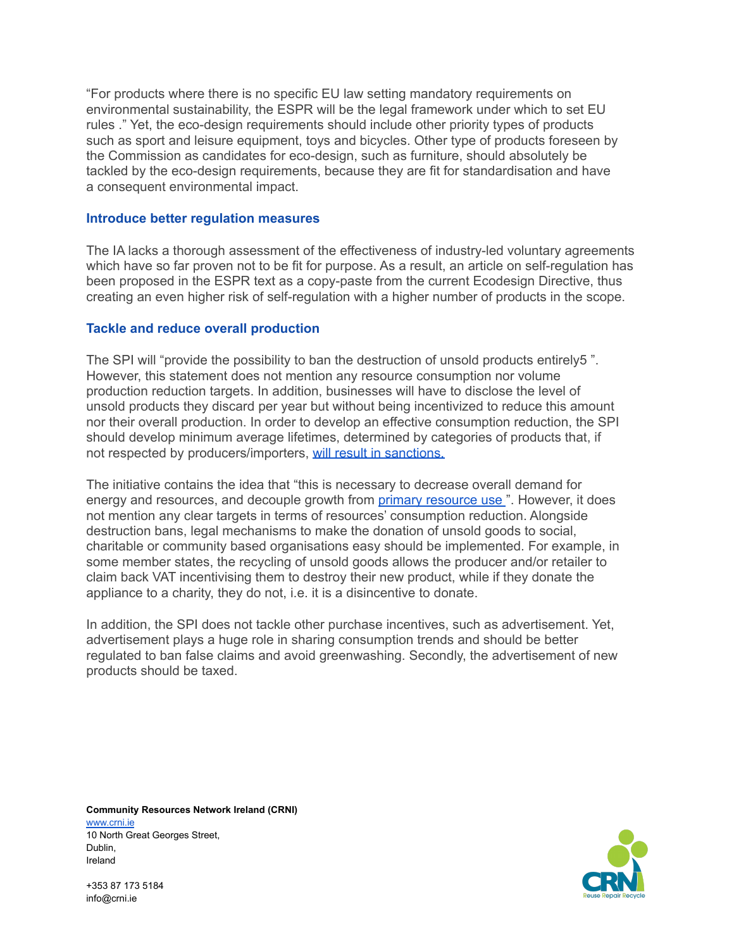"For products where there is no specific EU law setting mandatory requirements on environmental sustainability, the ESPR will be the legal framework under which to set EU rules ." Yet, the eco-design requirements should include other priority types of products such as sport and leisure equipment, toys and bicycles. Other type of products foreseen by the Commission as candidates for eco-design, such as furniture, should absolutely be tackled by the eco-design requirements, because they are fit for standardisation and have a consequent environmental impact.

### **Introduce better regulation measures**

The IA lacks a thorough assessment of the effectiveness of industry-led voluntary agreements which have so far proven not to be fit for purpose. As a result, an article on self-regulation has been proposed in the ESPR text as a copy-paste from the current Ecodesign Directive, thus creating an even higher risk of self-regulation with a higher number of products in the scope.

## **Tackle and reduce overall production**

The SPI will "provide the possibility to ban the destruction of unsold products entirely5 ". However, this statement does not mention any resource consumption nor volume production reduction targets. In addition, businesses will have to disclose the level of unsold products they discard per year but without being incentivized to reduce this amount nor their overall production. In order to develop an effective consumption reduction, the SPI should develop minimum average lifetimes, determined by categories of products that, if not respected by producers/importers, will result in [sanctions.](https://rreuse.org/wp-content/uploads/rreuse-response-to-consultation-on-spi-add-on-1.pdf)

The initiative contains the idea that "this is necessary to decrease overall demand for energy and [resource](https://eur-lex.europa.eu/legal-content/EN/TXT/?uri=CELEX%3A52022DC0140&qid=1649112555090)s, and decouple growth from primary resource use ". However, it does not mention any clear targets in terms of resources' consumption reduction. Alongside destruction bans, legal mechanisms to make the donation of unsold goods to social, charitable or community based organisations easy should be implemented. For example, in some member states, the recycling of unsold goods allows the producer and/or retailer to claim back VAT incentivising them to destroy their new product, while if they donate the appliance to a charity, they do not, i.e. it is a disincentive to donate.

In addition, the SPI does not tackle other purchase incentives, such as advertisement. Yet, advertisement plays a huge role in sharing consumption trends and should be better regulated to ban false claims and avoid greenwashing. Secondly, the advertisement of new products should be taxed.

**Community Resources Network Ireland (CRNI)** [www.crni.ie](http://www.crni.ie) 10 North Great Georges Street, Dublin, Ireland